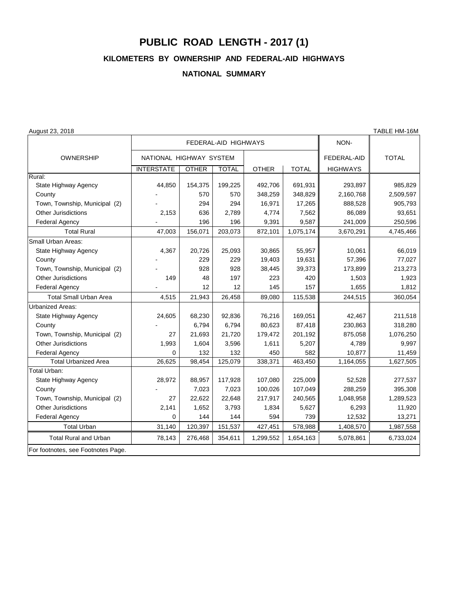## **PUBLIC ROAD LENGTH - 2017 (1)**

**KILOMETERS BY OWNERSHIP AND FEDERAL-AID HIGHWAYS**

## **NATIONAL SUMMARY**

| August 23, 2018                    |                         |              |              |              |              |                 | TABLE HM-16M |
|------------------------------------|-------------------------|--------------|--------------|--------------|--------------|-----------------|--------------|
|                                    | FEDERAL-AID HIGHWAYS    |              |              |              |              | NON-            |              |
| <b>OWNERSHIP</b>                   | NATIONAL HIGHWAY SYSTEM |              |              |              |              | FEDERAL-AID     | <b>TOTAL</b> |
|                                    | <b>INTERSTATE</b>       | <b>OTHER</b> | <b>TOTAL</b> | <b>OTHER</b> | <b>TOTAL</b> | <b>HIGHWAYS</b> |              |
| Rural:                             |                         |              |              |              |              |                 |              |
| State Highway Agency               | 44,850                  | 154,375      | 199,225      | 492,706      | 691,931      | 293,897         | 985,829      |
| County                             |                         | 570          | 570          | 348,259      | 348,829      | 2,160,768       | 2,509,597    |
| Town, Township, Municipal (2)      |                         | 294          | 294          | 16,971       | 17,265       | 888,528         | 905,793      |
| <b>Other Jurisdictions</b>         | 2,153                   | 636          | 2,789        | 4,774        | 7,562        | 86,089          | 93,651       |
| <b>Federal Agency</b>              |                         | 196          | 196          | 9,391        | 9,587        | 241,009         | 250,596      |
| <b>Total Rural</b>                 | 47,003                  | 156,071      | 203,073      | 872,101      | 1,075,174    | 3,670,291       | 4,745,466    |
| Small Urban Areas:                 |                         |              |              |              |              |                 |              |
| State Highway Agency               | 4,367                   | 20,726       | 25,093       | 30,865       | 55,957       | 10,061          | 66,019       |
| County                             |                         | 229          | 229          | 19,403       | 19,631       | 57,396          | 77,027       |
| Town, Township, Municipal (2)      |                         | 928          | 928          | 38,445       | 39,373       | 173,899         | 213,273      |
| <b>Other Jurisdictions</b>         | 149                     | 48           | 197          | 223          | 420          | 1,503           | 1,923        |
| <b>Federal Agency</b>              |                         | 12           | 12           | 145          | 157          | 1,655           | 1,812        |
| <b>Total Small Urban Area</b>      | 4,515                   | 21,943       | 26,458       | 89,080       | 115,538      | 244,515         | 360,054      |
| <b>Urbanized Areas:</b>            |                         |              |              |              |              |                 |              |
| State Highway Agency               | 24,605                  | 68,230       | 92,836       | 76,216       | 169,051      | 42,467          | 211,518      |
| County                             |                         | 6,794        | 6,794        | 80,623       | 87,418       | 230,863         | 318,280      |
| Town, Township, Municipal (2)      | 27                      | 21,693       | 21,720       | 179,472      | 201,192      | 875,058         | 1,076,250    |
| <b>Other Jurisdictions</b>         | 1,993                   | 1,604        | 3,596        | 1,611        | 5,207        | 4,789           | 9,997        |
| Federal Agency                     | $\Omega$                | 132          | 132          | 450          | 582          | 10,877          | 11,459       |
| <b>Total Urbanized Area</b>        | 26,625                  | 98,454       | 125,079      | 338,371      | 463,450      | 1,164,055       | 1,627,505    |
| Total Urban:                       |                         |              |              |              |              |                 |              |
| State Highway Agency               | 28,972                  | 88,957       | 117,928      | 107,080      | 225,009      | 52,528          | 277,537      |
| County                             |                         | 7,023        | 7,023        | 100,026      | 107,049      | 288,259         | 395,308      |
| Town, Township, Municipal (2)      | 27                      | 22,622       | 22,648       | 217,917      | 240,565      | 1,048,958       | 1,289,523    |
| <b>Other Jurisdictions</b>         | 2,141                   | 1,652        | 3,793        | 1,834        | 5,627        | 6,293           | 11,920       |
| <b>Federal Agency</b>              | 0                       | 144          | 144          | 594          | 739          | 12,532          | 13,271       |
| <b>Total Urban</b>                 | 31,140                  | 120,397      | 151,537      | 427,451      | 578,988      | 1,408,570       | 1,987,558    |
| <b>Total Rural and Urban</b>       | 78,143                  | 276,468      | 354,611      | 1,299,552    | 1,654,163    | 5,078,861       | 6,733,024    |
| For footnotes, see Footnotes Page. |                         |              |              |              |              |                 |              |